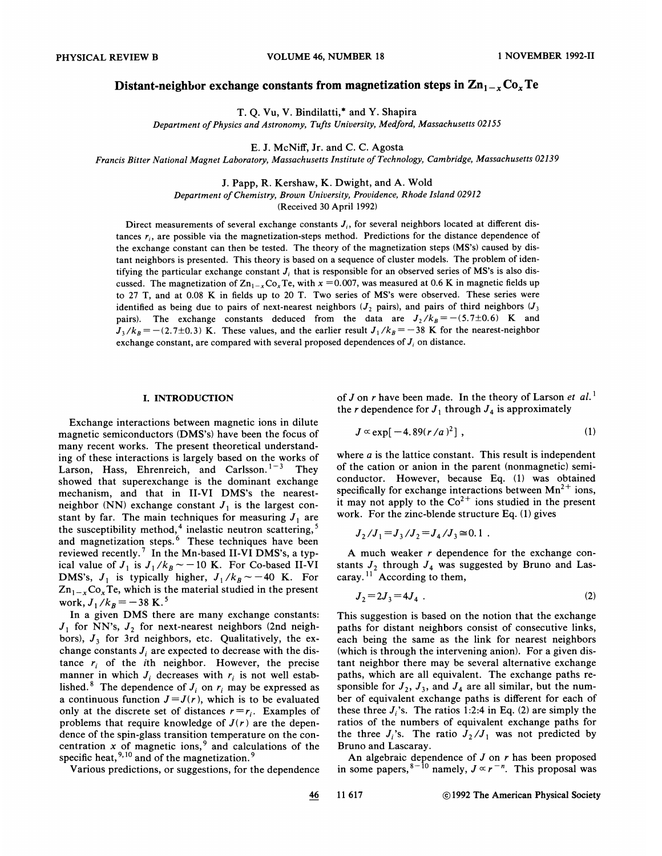# Distant-neighbor exchange constants from magnetization steps in  $\sum_{n=1}^{\infty}$ Co<sub>x</sub>Te

T. Q. Vu, V. Bindilatti,<sup>\*</sup> and Y. Shapir.

Department of Physics and Astronomy, Tufts University, Medford, Massachusetts 02155

E.J. McNiff, Jr. and C. C. Agosta

Francis Bitter National Magnet Laboratory, Massachusetts Institute of Technology, Cambridge, Massachusetts 02139

J. Papp, R. Kershaw, K. Dwight, and A. Wold Department of Chemistry, Brown Uniuersity, Prouidence, Rhode Island 02912 (Received 30 April 1992)

Direct measurements of several exchange constants  $J_i$ , for several neighbors located at different distances  $r_i$ , are possible via the magnetization-steps method. Predictions for the distance dependence of the exchange constant can then be tested. The theory of the magnetization steps (MS's) caused by distant neighbors is presented. This theory is based on a sequence of cluster models. The problem of identifying the particular exchange constant  $J_i$ , that is responsible for an observed series of MS's is also discussed. The magnetization of  $\text{Zn}_{1-x}\text{Co}_x \text{Te}$ , with  $x = 0.007$ , was measured at 0.6 K in magnetic fields up to 27 T, and at 0.08 K in fields up to 20 T. Two series of MS's were observed. These series were identified as being due to pairs of next-nearest neighbors ( $J_2$  pairs), and pairs of third neighbors ( $J_3$ pairs). The exchange constants deduced from the data are  $J_2/k_B = -(5.7\pm0.6)$  K and  $J_3/k_B = -(2.7\pm0.3)$  K. These values, and the earlier result  $J_1/k_B = -38$  K for the nearest-neighbor exchange constant, are compared with several proposed dependences of  $J_i$  on distance.

# I. INTRODUCTION

Exchange interactions between magnetic ions in dilute magnetic semiconductors (DMS's) have been the focus of many recent works. The present theoretical understanding of these interactions is largely based on the works of Larson, Hass, Ehrenreich, and Carlsson.<sup>1-3</sup> They showed that superexchange is the dominant exchange mechanism, and that in II-VI DMS's the nearestneighbor (NN) exchange constant  $J_1$  is the largest constant by far. The main techniques for measuring  $J_1$  are the susceptibility method,<sup>4</sup> inelastic neutron scattering and magnetization steps.<sup>6</sup> These techniques have beer reviewed recently.<sup>7</sup> In the Mn-based II-VI DMS's, a typical value of  $J_1$  is  $J_1/k_B \sim -10$  K. For Co-based II-VI DMS's,  $J_1$  is typically higher,  $J_1/k_B \sim -40$  K. For  $Zn_{1-x}Co_xTe$ , which is the material studied in the present work,  $J_1/k_B = -38$  K.<sup>5</sup>

In a given DMS there are many exchange constants:  $J_1$  for NN's,  $J_2$  for next-nearest neighbors (2nd neighbors),  $J_3$  for 3rd neighbors, etc. Qualitatively, the exchange constants  $J_i$  are expected to decrease with the distance  $r_i$  of the *i*th neighbor. However, the precise manner in which  $J_i$  decreases with  $r_i$  is not well established.<sup>8</sup> The dependence of  $J_i$  on  $r_i$  may be expressed as a continuous function  $J=J(r)$ , which is to be evaluated only at the discrete set of distances  $r = r_i$ . Examples of problems that require knowledge of  $J(r)$  are the dependence of the spin-glass transition temperature on the concentration x of magnetic ions,<sup>9</sup> and calculations of the specific heat, <sup>9,10</sup> and of the magnetizatio

Various predictions, or suggestions, for the dependence

of J on r have been made. In the theory of Larson et  $al.$ <sup>1</sup> the *r* dependence for  $J_1$  through  $J_4$  is approximate

$$
J \propto \exp[-4.89(r/a)^2], \qquad (1)
$$

where  $a$  is the lattice constant. This result is independent of the cation or anion in the parent (nonmagnetic) semiconductor. However, because Eq. (1) was obtained specifically for exchange interactions between  $Mn^{2+}$  ions it may not apply to the  $Co^{2+}$  ions studied in the present work. For the zinc-blende structure Eq. (1) gives<br> $J_2/J_1 = J_3/J_2 = J_4/J_3 \cong 0.1$ .

$$
J_2/J_1 = J_3/J_2 = J_4/J_3 \approx 0.1
$$

A much weaker  $r$  dependence for the exchange constants  $J_2$  through  $J_4$  was suggested by Bruno and Lasstants  $J_2$  through  $J_4$  was s<br>caray.<sup>11</sup> According to them

$$
J_2 = 2J_3 = 4J_4 \tag{2}
$$

This suggestion is based on the notion that the exchange paths for distant neighbors consist of consecutive links, each being the same as the link for nearest neighbors (which is through the intervening anion). For a given distant neighbor there may be several alternative exchange paths, which are all equivalent. The exchange paths responsible for  $J_2$ ,  $J_3$ , and  $J_4$  are all similar, but the number of equivalent exchange paths is different for each of these three  $J_i$ 's. The ratios 1:2:4 in Eq. (2) are simply the ratios of the numbers of equivalent exchange paths for the three  $J_i$ 's. The ratio  $J_2/J_1$  was not predicted by Bruno and Lascaray.

An algebraic dependence of  $J$  on  $r$  has been propose in some papers,  $8-10$  namely,  $J \propto r^{-n}$ . This proposal was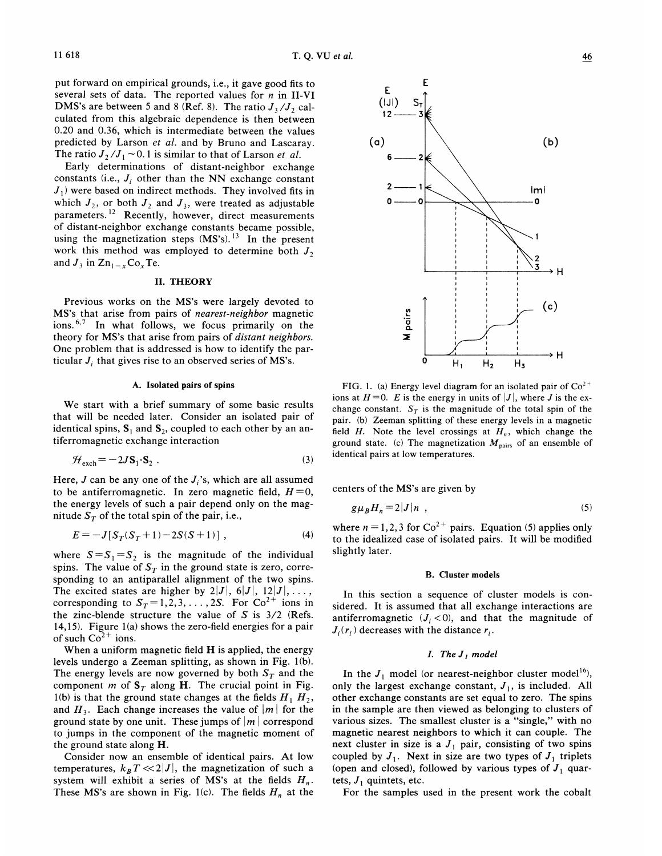put forward on empirical grounds, i.e., it gave good fits to several sets of data. The reported values for  $n$  in II-VI DMS's are between 5 and 8 (Ref. 8). The ratio  $J_3/J_2$  calculated from this algebraic dependence is then between 0.20 and 0.36, which is intermediate between the values predicted by Larson et al. and by Bruno and Lascaray. The ratio  $J_2/J_1 \sim 0.1$  is similar to that of Larson *et al.* 

Early determinations of distant-neighbor exchange constants (i.e.,  $J_i$  other than the NN exchange constant  $J_1$ ) were based on indirect methods. They involved fits in which  $J_2$ , or both  $J_2$  and  $J_3$ , were treated as adjustable parameters.<sup>12</sup> Recently, however, direct measurements of distant-neighbor exchange constants became possible, using the magnetization steps  $(MS's)$ .<sup>13</sup> In the present work this method was employed to determine both  $J_2$ and  $J_3$  in  $\text{Zn}_{1-x}\text{Co}_x\text{Te}$ .

### II. THEORY

Previous works on the MS's were largely devoted to MS's that arise from pairs of nearest-neighbor magnetic ions.<sup>6,7</sup> In what follows, we focus primarily on the theory for MS's that arise from pairs of distant neighbors. One problem that is addressed is how to identify the particular  $J_i$ , that gives rise to an observed series of MS's.

### A. Isolated pairs of spins

We start with a brief summary of some basic results that will be needed later. Consider an isolated pair of identical spins,  $S_1$  and  $S_2$ , coupled to each other by an antiferromagnetic exchange interaction

$$
\mathcal{H}_{\text{exch}} = -2J\mathbf{S}_1 \cdot \mathbf{S}_2 \tag{3}
$$

Here, J can be any one of the  $J_i$ 's, which are all assumed to be antiferromagnetic. In zero magnetic field,  $H=0$ , the energy levels of such a pair depend only on the magnitude  $S_T$  of the total spin of the pair, i.e.,

$$
E = -J[S_T(S_T + 1) - 2S(S + 1)] ,
$$
 (4)

where  $S=S_1=S_2$  is the magnitude of the individual spins. The value of  $S_T$  in the ground state is zero, corresponding to an antiparallel alignment of the two spins. The excited states are higher by  $2|J|, 6|J|, 12|J|, \ldots$ , corresponding to  $S_T = 1, 2, 3, \ldots, 2S$ . For  $Co^{2+}$  ions in the zinc-blende structure the value of  $S$  is  $3/2$  (Refs. 14,15). Figure 1(a) shows the zero-field energies for a pair of such  $Co<sup>2+</sup>$  ions.

When a uniform magnetic field  $H$  is applied, the energy levels undergo a Zeeman splitting, as shown in Fig. 1(b). The energy levels are now governed by both  $S_T$  and the component m of  $S_T$  along H. The crucial point in Fig. l(b) is that the ground state changes at the fields  $H_1$ ,  $H_2$ , and  $H_3$ . Each change increases the value of  $|m|$  for the ground state by one unit. These jumps of  $|m|$  correspond to jumps in the component of the magnetic moment of the ground state along H.

Consider now an ensemble of identical pairs. At low temperatures,  $k_B T \ll 2|J|$ , the magnetization of such a system will exhibit a series of MS's at the fields  $H_n$ . These MS's are shown in Fig. 1(c). The fields  $H_n$  at the



FIG. 1. (a) Energy level diagram for an isolated pair of  $Co<sup>2+</sup>$ ions at  $H=0$ . E is the energy in units of  $|J|$ , where J is the exchange constant.  $S_T$  is the magnitude of the total spin of the pair. (b) Zeeman splitting of these energy levels in a magnetic field H. Note the level crossings at  $H_n$ , which change the ground state. (c) The magnetization  $M_{\text{pairs}}$  of an ensemble of identical pairs at low temperatures.

centers of the MS's are given by

$$
g\mu_B H_n = 2|J|n \t\t(5)
$$

where  $n = 1, 2, 3$  for  $Co^{2+}$  pairs. Equation (5) applies only to the idealized case of isolated pairs. It will be modified slightly later.

### B. Cluster models

In this section a sequence of cluster models is considered. It is assumed that all exchange interactions are antiferromagnetic  $(J_i < 0)$ , and that the magnitude of  $J_i(r_i)$  decreases with the distance  $r_i$ .

## I. The  $J<sub>1</sub>$  model

In the  $J_1$  model (or nearest-neighbor cluster model<sup>16</sup>), only the largest exchange constant,  $J_1$ , is included. All other exchange constants are set equal to zero. The spins in the sample are then viewed as belonging to clusters of various sizes. The smallest cluster is a "single," with no magnetic nearest neighbors to which it can couple. The next cluster in size is a  $J_1$  pair, consisting of two spins coupled by  $J_1$ . Next in size are two types of  $J_1$  triplets (open and closed), followed by various types of  $J_1$  quartets,  $J_1$  quintets, etc.

For the samples used in the present work the cobalt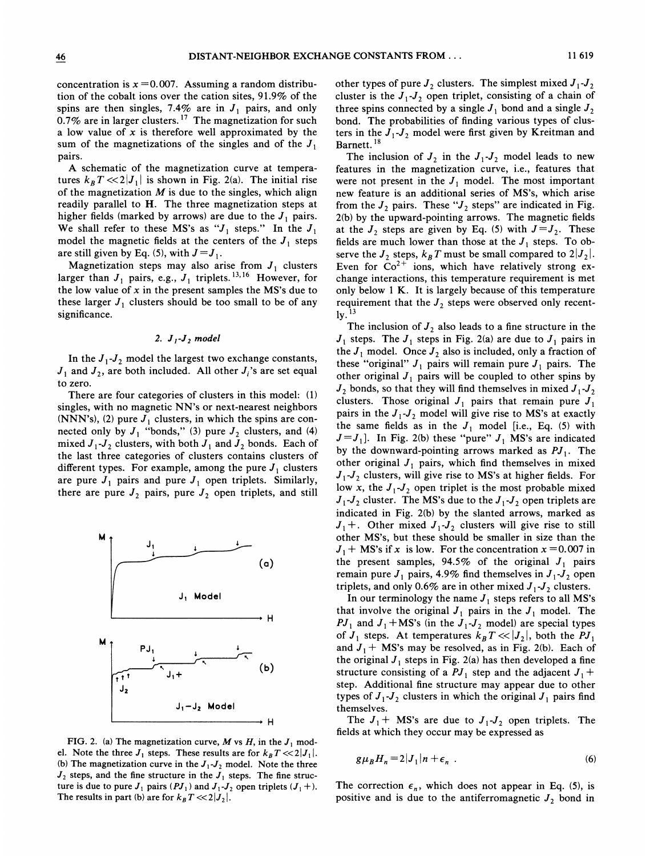concentration is  $x = 0.007$ . Assuming a random distribution of the cobalt ions over the cation sites, 91.9% of the spins are then singles, 7.4% are in  $J_1$  pairs, and only  $0.7\%$  are in larger clusters.<sup>17</sup> The magnetization for such a low value of  $x$  is therefore well approximated by the sum of the magnetizations of the singles and of the  $J_1$ pairs.

A schematic of the magnetization curve at temperatures  $k_B T < 2|J_1|$  is shown in Fig. 2(a). The initial rise of the magnetization  $M$  is due to the singles, which align readily parallel to H. The three magnetization steps at higher fields (marked by arrows) are due to the  $J_1$  pairs. We shall refer to these MS's as " $J_1$  steps." In the  $J_1$ model the magnetic fields at the centers of the  $J_1$  steps are still given by Eq. (5), with  $J=J<sub>1</sub>$ .

Magnetization steps may also arise from  $J_1$  clusters Magnetization steps may also arise from  $J_1$  clusters<br>larger than  $J_1$  pairs, e.g.,  $J_1$  triplets. <sup>13, 16</sup> However, for the low value of  $x$  in the present samples the MS's due to these larger  $J_1$  clusters should be too small to be of any significance.

## 2.  $J_1-J_2$  model

In the  $J_1-J_2$  model the largest two exchange constants,  $J_1$  and  $J_2$ , are both included. All other  $J_i$ 's are set equal to zero.

There are four categories of clusters in this model: (1) singles, with no magnetic NN's or next-nearest neighbors (NNN's), (2) pure  $J_1$  clusters, in which the spins are connected only by  $J_1$  "bonds," (3) pure  $J_2$  clusters, and (4) mixed  $J_1-J_2$  clusters, with both  $J_1$  and  $J_2$  bonds. Each of the last three categories of clusters contains clusters of different types. For example, among the pure  $J_1$  clusters are pure  $J_1$  pairs and pure  $J_1$  open triplets. Similarly, there are pure  $J_2$  pairs, pure  $J_2$  open triplets, and still



FIG. 2. (a) The magnetization curve, M vs H, in the  $J_1$  model. Note the three  $J_1$  steps. These results are for  $k_B T \ll 2|J_1|$ . (b) The magnetization curve in the  $J_1-J_2$  model. Note the three  $J_2$  steps, and the fine structure in the  $J_1$  steps. The fine structure is due to pure  $J_1$  pairs (P $J_1$ ) and  $J_1-J_2$  open triplets ( $J_1+$ ). The results in part (b) are for  $k_B T < 2|J_2|$ .

other types of pure  $J_2$  clusters. The simplest mixed  $J_1-J_2$ cluster is the  $J_1-J_2$  open triplet, consisting of a chain of three spins connected by a single  $J_1$  bond and a single  $J_2$ bond. The probabilities of finding various types of clusters in the  $J_1-J_2$  model were first given by Kreitman and Barnett.<sup>18</sup>

The inclusion of  $J_2$  in the  $J_1-J_2$  model leads to new features in the magnetization curve, i.e., features that were not present in the  $J_1$  model. The most important new feature is an additional series of MS's, which arise from the  $J_2$  pairs. These " $J_2$  steps" are indicated in Fig. 2(b) by the upward-pointing arrows. The magnetic fields at the  $J_2$  steps are given by Eq. (5) with  $J=J_2$ . These fields are much lower than those at the  $J_1$  steps. To observe the  $J_2$  steps,  $k_B T$  must be small compared to  $2|J_2|$ . Even for  $\text{Co}^{2+}$  ions, which have relatively strong exchange interactions, this temperature requirement is met only below <sup>1</sup> K. It is largely because of this temperature requirement that the  $J_2$  steps were observed only recent- $1y.$ <sup>13</sup>

The inclusion of  $J_2$  also leads to a fine structure in the  $J_1$  steps. The  $J_1$  steps in Fig. 2(a) are due to  $J_1$  pairs in the  $J_1$  model. Once  $J_2$  also is included, only a fraction of these "original"  $J_1$  pairs will remain pure  $J_1$  pairs. The other original  $J_1$  pairs will be coupled to other spins by  $J_2$  bonds, so that they will find themselves in mixed  $J_1-J_2$ clusters. Those original  $J_1$  pairs that remain pure  $J_1$ pairs in the  $J_1-J_2$  model will give rise to MS's at exactly the same fields as in the  $J_1$  model [i.e., Eq. (5) with  $J=J_1$ ]. In Fig. 2(b) these "pure"  $J_1$  MS's are indicated by the downward-pointing arrows marked as  $PI_1$ . The other original  $J_1$  pairs, which find themselves in mixed  $J_1$ - $J_2$  clusters, will give rise to MS's at higher fields. For low x, the  $J_1-J_2$  open triplet is the most probable mixed  $J_1$ - $J_2$  cluster. The MS's due to the  $J_1$ - $J_2$  open triplets are indicated in Fig. 2(b) by the slanted arrows, marked as  $J_1$ +. Other mixed  $J_1$ - $J_2$  clusters will give rise to still other MS's, but these should be smaller in size than the  $J_1$  + MS's if x is low. For the concentration  $x = 0.007$  in the present samples, 94.5% of the original  $J_1$  pairs remain pure  $J_1$  pairs, 4.9% find themselves in  $J_1-J_2$  open triplets, and only 0.6% are in other mixed  $J_1-J_2$  clusters.

In our terminology the name  $J_1$  steps refers to all MS's that involve the original  $J_1$  pairs in the  $J_1$  model. The  $PI_1$  and  $J_1 + MS$ 's (in the  $J_1-J_2$  model) are special types of  $J_1$  steps. At temperatures  $k_B T \ll |J_2|$ , both the  $PI_1$ and  $J_1$  + MS's may be resolved, as in Fig. 2(b). Each of the original  $J_1$  steps in Fig. 2(a) has then developed a fine structure consisting of a  $PI_1$  step and the adjacent  $J_1$  + step. Additional fine structure may appear due to other types of  $J_1-J_2$  clusters in which the original  $J_1$  pairs find themselves.

The  $J_1$  + MS's are due to  $J_1-J_2$  open triplets. The fields at which they occur may be expressed as

$$
g\mu_B H_n = 2|J_1|n + \epsilon_n \tag{6}
$$

The correction  $\epsilon_n$ , which does not appear in Eq. (5), is positive and is due to the antiferromagnetic  $J_2$  bond in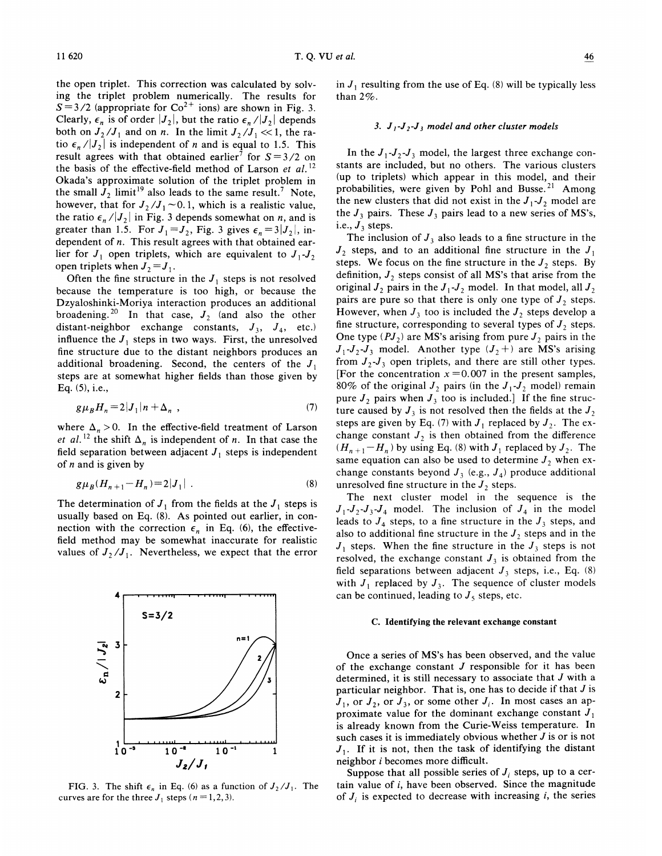the open triplet. This correction was calculated by solving the triplet problem numerically. The results for  $S=3/2$  (appropriate for  $Co^{2+}$  ions) are shown in Fig. 3. Clearly,  $\epsilon_n$  is of order  $|J_2|$ , but the ratio  $\epsilon_n/|J_2|$  depends both on  $J_2/J_1$  and on n. In the limit  $J_2/J_1 \ll 1$ , the ratio  $\epsilon_n/|J_2|$  is independent of n and is equal to 1.5. This result agrees with that obtained earlier<sup>7</sup> for  $S = 3/2$  on the basis of the effective-field method of Larson et  $al$ .<sup>12</sup> Okada's approximate solution of the triplet problem in the small  $J_2$  limit<sup>19</sup> also leads to the same result.<sup>7</sup> Note, however, that for  $J_2/J_1 \sim 0.1$ , which is a realistic value, the ratio  $\epsilon_n / |J_2|$  in Fig. 3 depends somewhat on *n*, and is greater than 1.5. For  $J_1 = J_2$ , Fig. 3 gives  $\epsilon_n = 3|J_2|$ , independent of *n*. This result agrees with that obtained earlier for  $J_1$  open triplets, which are equivalent to  $J_1$ ,  $J_2$ open triplets when  $J_2 = J_1$ .

Often the fine structure in the  $J_1$  steps is not resolved because the temperature is too high, or because the Dzyaloshinki-Moriya interaction produces an additional broadening.<sup>20</sup> In that case,  $J_2$  (and also the other distant-neighbor exchange constants,  $J_3$ ,  $J_4$ , etc.) influence the  $J_1$  steps in two ways. First, the unresolved fine structure due to the distant neighbors produces an additional broadening. Second, the centers of the  $J_1$ steps are at somewhat higher fields than those given by Eq. (5), i.e.,

$$
g\mu_B H_n = 2|J_1|n + \Delta_n \t , \t (7)
$$

where  $\Delta_n > 0$ . In the effective-field treatment of Larson et al.<sup>12</sup> the shift  $\Delta_n$  is independent of n. In that case the field separation between adjacent  $J_1$  steps is independent of  $n$  and is given by

$$
g\mu_B(H_{n+1} - H_n) = 2|J_1| \t\t(8)
$$

The determination of  $J_1$  from the fields at the  $J_1$  steps is usually based on Eq. (8). As pointed out earlier, in connection with the correction  $\epsilon_n$  in Eq. (6), the effectivefield method may be somewhat inaccurate for realistic values of  $J_2/J_1$ . Nevertheless, we expect that the error



FIG. 3. The shift  $\epsilon_n$  in Eq. (6) as a function of  $J_2/J_1$ . The curves are for the three  $J_1$  steps ( $n = 1, 2, 3$ ).

in  $J_1$  resulting from the use of Eq. (8) will be typically less than 2%.

## 3.  $J_1-J_2-J_3$  model and other cluster models

In the  $J_1-J_2-J_3$  model, the largest three exchange constants are included, but no others. The various clusters (up to triplets) which appear in this model, and their probabilities, were given by Pohl and Busse.<sup>21</sup> Among the new clusters that did not exist in the  $J_1-J_2$  model are the  $J_3$  pairs. These  $J_3$  pairs lead to a new series of MS's, i.e.,  $J_3$  steps.

The inclusion of  $J_3$  also leads to a fine structure in the  $J_2$  steps, and to an additional fine structure in the  $J_1$ steps. We focus on the fine structure in the  $J_2$  steps. By definition,  $J_2$  steps consist of all MS's that arise from the original  $J_2$  pairs in the  $J_1-J_2$  model. In that model, all  $J_2$ pairs are pure so that there is only one type of  $J_2$  steps. However, when  $J_3$  too is included the  $J_2$  steps develop a fine structure, corresponding to several types of  $J_2$  steps. One type  $(PI_2)$  are MS's arising from pure  $J_2$  pairs in the  $J_1-J_2-J_3$  model. Another type  $(J_2 +)$  are MS's arising from  $J_2$ - $J_3$  open triplets, and there are still other types. [For the concentration  $x = 0.007$  in the present samples, 80% of the original  $J_2$  pairs (in the  $J_1-J_2$  model) remain pure  $J_2$  pairs when  $J_3$  too is included.] If the fine structure caused by  $J_3$  is not resolved then the fields at the  $J_2$ steps are given by Eq. (7) with  $J_1$  replaced by  $J_2$ . The exchange constant  $J_2$  is then obtained from the difference  $(H_{n+1} - H_n)$  by using Eq. (8) with  $J_1$  replaced by  $J_2$ . The same equation can also be used to determine  $J_2$  when exchange constants beyond  $J_3$  (e.g.,  $J_4$ ) produce additional unresolved fine structure in the  $J_2$  steps.

The next cluster model in the sequence is the  $J_1$ ,  $J_2$ ,  $J_3$ ,  $J_4$  model. The inclusion of  $J_4$  in the model leads to  $J_4$  steps, to a fine structure in the  $J_3$  steps, and also to additional fine structure in the  $J_2$  steps and in the  $J_1$  steps. When the fine structure in the  $J_3$  steps is not resolved, the exchange constant  $J_3$  is obtained from the field separations between adjacent  $J_3$  steps, i.e., Eq. (8) with  $J_1$  replaced by  $J_3$ . The sequence of cluster models can be continued, leading to  $J_5$  steps, etc.

#### C. Identifying the relevant exchange constant

Once a series of MS's has been observed, and the value of the exchange constant  $J$  responsible for it has been determined, it is still necessary to associate that J with <sup>a</sup> particular neighbor. That is, one has to decide if that  $J$  is  $J_1$ , or  $J_2$ , or  $J_3$ , or some other  $J_i$ . In most cases an approximate value for the dominant exchange constant  $J_1$ is already known from the Curie-Weiss temperature. In such cases it is immediately obvious whether  $J$  is or is not  $J_1$ . If it is not, then the task of identifying the distant neighbor i becomes more difficult.

Suppose that all possible series of  $J_i$  steps, up to a certain value of  $i$ , have been observed. Since the magnitude of  $J_i$  is expected to decrease with increasing i, the series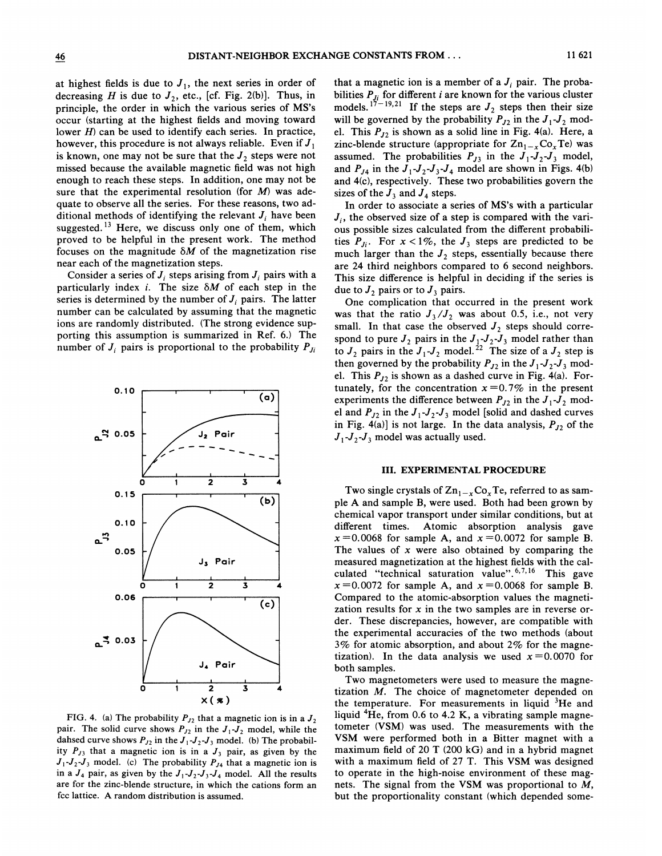at highest fields is due to  $J_1$ , the next series in order of decreasing H is due to  $J_2$ , etc., [cf. Fig. 2(b)]. Thus, in principle, the order in which the various series of MS's occur (starting at the highest fields and moving toward lower  $H$ ) can be used to identify each series. In practice, however, this procedure is not always reliable. Even if  $J_1$ is known, one may not be sure that the  $J_2$  steps were not missed because the available magnetic field was not high enough to reach these steps. In addition, one may not be sure that the experimental resolution (for  $M$ ) was adequate to observe all the series. For these reasons, two additional methods of identifying the relevant  $J_i$  have been suggested.<sup>13</sup> Here, we discuss only one of them, which proved to be helpful in the present work. The method focuses on the magnitude  $\delta M$  of the magnetization rise near each of the magnetization steps.

Consider a series of  $J_i$  steps arising from  $J_i$  pairs with a particularly index i. The size  $\delta M$  of each step in the series is determined by the number of  $J_i$  pairs. The latter number can be calculated by assuming that the magnetic ions are randomly distributed. (The strong evidence supporting this assumption is summarized in Ref. 6.) The number of  $J_i$  pairs is proportional to the probability  $P_{J_i}$ 



FIG. 4. (a) The probability  $P_{J2}$  that a magnetic ion is in a  $J_2$ pair. The solid curve shows  $P_{J2}$  in the  $J_1-J_2$  model, while the dahsed curve shows  $P_{J2}$  in the  $J_1-J_2-J_3$  model. (b) The probability  $P_{J3}$  that a magnetic ion is in a  $J_3$  pair, as given by the  $J_1-J_2-J_3$  model. (c) The probability  $P_{J4}$  that a magnetic ion is in a  $J_4$  pair, as given by the  $J_1-J_2-J_3-J_4$  model. All the results are for the zinc-blende structure, in which the cations form an fcc lattice. A random distribution is assumed.

that a magnetic ion is a member of a  $J_i$  pair. The probabilities  $P_{J_i}$  for different *i* are known for the various cluste models.<sup>17-19,21</sup> If the steps are  $J_2$  steps then their size will be governed by the probability  $P_{J2}$  in the  $J_1-J_2$  model. This  $P_{J2}$  is shown as a solid line in Fig. 4(a). Here, a zinc-blende structure (appropriate for  $\text{Zn}_{1-x}\text{Co}_x\text{Te}$ ) was assumed. The probabilities  $P_{J3}$  in the  $J_1-J_2-J_3$  model, and  $P_{J4}$  in the  $J_1-J_2-J_3-J_4$  model are shown in Figs. 4(b) and 4(c), respectively. These two probabilities govern the sizes of the  $J_3$  and  $J_4$  steps.

In order to associate a series of MS's with a particular  $J_i$ , the observed size of a step is compared with the various possible sizes calculated from the different probabilities  $P_{J_i}$ . For  $x < 1\%$ , the  $J_3$  steps are predicted to be much larger than the  $J_2$  steps, essentially because there are 24 third neighbors compared to 6 second neighbors. This size difference is helpful in deciding if the series is due to  $J_2$  pairs or to  $J_3$  pairs.

One complication that occurred in the present work was that the ratio  $J_3/J_2$  was about 0.5, i.e., not very small. In that case the observed  $J_2$  steps should correspond to pure  $J_2$  pairs in the  $J_1-J_2-J_3$  model rather than to  $J_2$  pairs in the  $J_1-J_2$  model.<sup>22</sup> The size of a  $J_2$  step is then governed by the probability  $P_{J_2}$  in the  $J_1-J_2-J_3$  model. This  $P_{12}$  is shown as a dashed curve in Fig. 4(a). Fortunately, for the concentration  $x=0.7\%$  in the present experiments the difference between  $P_{J2}$  in the  $J_1-J_2$  model and  $P_{J2}$  in the  $J_1-J_2-J_3$  model [solid and dashed curves in Fig. 4(a)] is not large. In the data analysis,  $P_{J2}$  of the  $J_1-J_2-J_3$  model was actually used.

## III. EXPERIMENTAL PROCEDURE

Two single crystals of  $\text{Zn}_{1-x}\text{Co}_x\text{Te}$ , referred to as sample A and sample B, were used. Both had been grown by chemical vapor transport under similar conditions, but at different times. Atomic absorption analysis gave  $x = 0.0068$  for sample A, and  $x = 0.0072$  for sample B. The values of  $x$  were also obtained by comparing the measured magnetization at the highest fields with the calmeasured magnetization at the highest fields with the calculated "technical saturation value".<sup>6,7,16</sup> This gave  $x=0.0072$  for sample A, and  $x=0.0068$  for sample B. Compared to the atomic-absorption values the magnetization results for  $x$  in the two samples are in reverse order. These discrepancies, however, are compatible with the experimental accuracies of the two methods (about 3% for atomic absorption, and about 2% for the magnetization). In the data analysis we used  $x=0.0070$  for both samples.

Two magnetometers were used to measure the magnetization  $M$ . The choice of magnetometer depended on the temperature. For measurements in liquid  ${}^{3}$ He and liquid  ${}^{4}$ He, from 0.6 to 4.2 K, a vibrating sample magnetometer (VSM) was used. The measurements with the VSM were performed both in a Bitter magnet with a maximum field of 20 T (200 kG) and in a hybrid magnet with a maximum field of 27 T. This VSM was designed to operate in the high-noise environment of these magnets. The signal from the VSM was proportional to M, but the proportionality constant (which depended some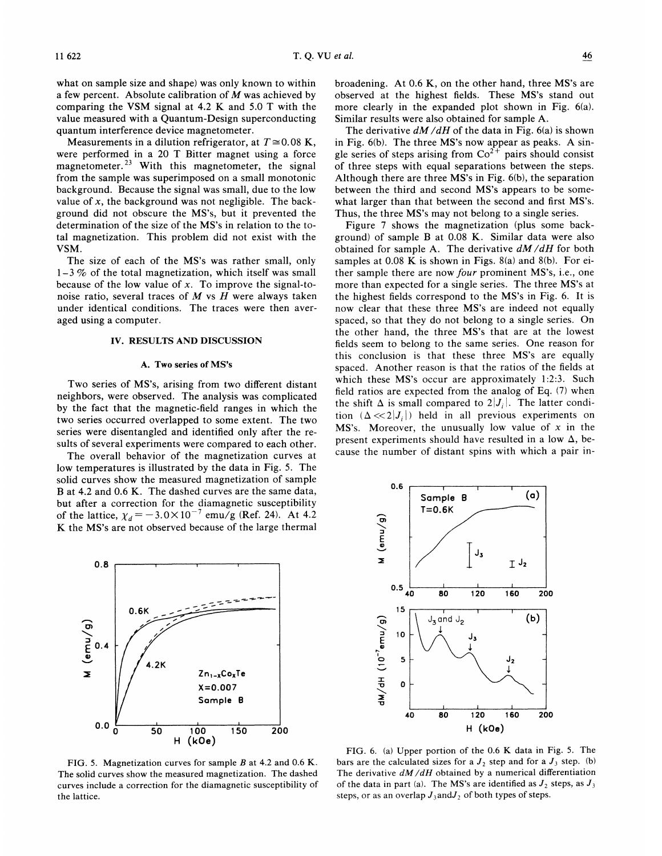what on sample size and shape) was only known to within a few percent. Absolute calibration of  $M$  was achieved by comparing the VSM signal at 4.2 K and 5.0 T with the value measured with a Quantum-Design superconducting quantum interference device magnetometer.

Measurements in a dilution refrigerator, at  $T \approx 0.08$  K, were performed in a 20 T Bitter magnet using a force magnetometer.<sup>23</sup> With this magnetometer, the signal from the sample was superimposed on a small monotonic background. Because the signal was small, due to the low value of  $x$ , the background was not negligible. The background did not obscure the MS's, but it prevented the determination of the size of the MS's in relation to the total magnetization. This problem did not exist with the VSM.

The size of each of the MS's was rather small, only  $1-3\%$  of the total magnetization, which itself was small because of the low value of  $x$ . To improve the signal-tonoise ratio, several traces of  $M$  vs  $H$  were always taken under identical conditions. The traces were then averaged using a computer.

## IV. RESULTS AND DISCUSSION

### A. Two series of MS's

Two series of MS's, arising from two different distant neighbors, were observed. The analysis was complicated by the fact that the magnetic-field ranges in which the two series occurred overlapped to some extent. The two series were disentangled and identified only after the results of several experiments were compared to each other.

The overall behavior of the magnetization curves at low temperatures is illustrated by the data in Fig. 5. The solid curves show the measured magnetization of sample 8 at 4.<sup>2</sup> and 0.6 K. The dashed curves are the same data, but after a correction for the diamagnetic susceptibility of the lattice,  $\chi_d = -3.0 \times 10^{-7}$  emu/g (Ref. 24). At 4.2 K the MS's are not observed because of the large thermal



FIG. 5. Magnetization curves for sample  $B$  at 4.2 and 0.6 K. The solid curves show the measured magnetization. The dashed curves include a correction for the diamagnetic susceptibility of the lattice.

broadening. At 0.6 K, on the other hand, three MS's are observed at the highest fields. These MS's stand out more clearly in the expanded plot shown in Fig. 6(a). Similar results were also obtained for sample A.

The derivative  $dM/dH$  of the data in Fig. 6(a) is shown in Fig. 6(b). The three MS's now appear as peaks. A single series of steps arising from  $Co^{2+}$  pairs should consistent of three steps with equal separations between the steps. Although there are three MS's in Fig. 6(b), the separation between the third and second MS's appears to be somewhat larger than that between the second and first MS's. Thus, the three MS's may not belong to a single series.

Figure 7 shows the magnetization (plus some background) of sample B at 0.08 K. Similar data were also obtained for sample A. The derivative  $dM/dH$  for both samples at 0.08 K is shown in Figs. 8(a) and 8(b). For either sample there are now four prominent MS's, i.e., one more than expected for a single series. The three MS's at the highest fields correspond to the MS's in Fig. 6. It is now clear that these three MS's are indeed not equally spaced, so that they do not belong to a single series. On the other hand, the three MS's that are at the lowest fields seem to belong to the same series. One reason for this conclusion is that these three MS's are equally spaced. Another reason is that the ratios of the fields at which these MS's occur are approximately 1:2:3. Such field ratios are expected from the analog of Eq. (7) when the shift  $\Delta$  is small compared to  $2|J_i|$ . The latter condition  $(\Delta \ll 2|J_i|)$  held in all previous experiments on MS's. Moreover, the unusually low value of  $x$  in the present experiments should have resulted in a low  $\Delta$ , because the number of distant spins with which a pair in-



FIG. 6. (a) Upper portion of the 0.6 K data in Fig. 5. The bars are the calculated sizes for a  $J_2$  step and for a  $J_3$  step. (b) The derivative  $dM/dH$  obtained by a numerical differentiation of the data in part (a). The MS's are identified as  $J_2$  steps, as  $J_3$ steps, or as an overlap  $J_3$  and  $J_2$  of both types of steps.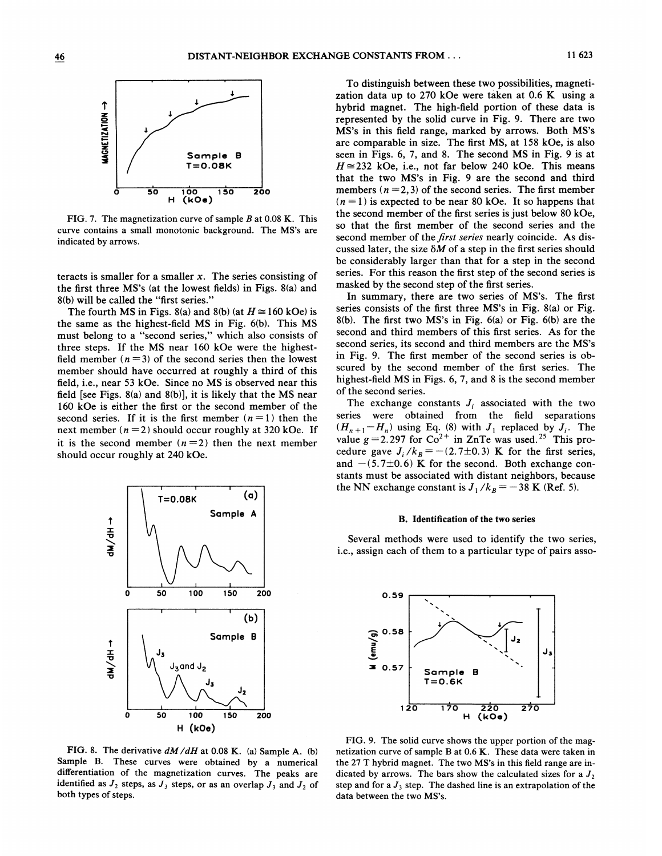

FIG. 7. The magnetization curve of sample  $B$  at 0.08 K. This curve contains a small monotonic background. The MS's are indicated by arrows.

teracts is smaller for a smaller x. The series consisting of the first three MS's (at the lowest fields) in Figs. 8(a) and 8(b) will be called the "first series. "

The fourth MS in Figs. 8(a) and 8(b) (at  $H \approx 160$  kOe) is the same as the highest-field MS in Fig. 6(b). This MS must belong to a "second series," which also consists of three steps. If the MS near 160 kOe were the highestfield member  $(n=3)$  of the second series then the lowest member should have occurred at roughly a third of this field, i.e., near 53 kOe. Since no MS is observed near this field [see Figs.  $8(a)$  and  $8(b)$ ], it is likely that the MS near 160 kOe is either the first or the second member of the second series. If it is the first member  $(n=1)$  then the next member  $(n=2)$  should occur roughly at 320 kOe. If it is the second member  $(n=2)$  then the next member should occur roughly at 240 kOe.



FIG. 8. The derivative  $dM/dH$  at 0.08 K. (a) Sample A. (b) Sample B. These curves were obtained by a numerical differentiation of the magnetization curves. The peaks are identified as  $J_2$  steps, as  $J_3$  steps, or as an overlap  $J_3$  and  $J_2$  of both types of steps.

To distinguish between these two possibilities, magnetization data up to 270 kOe were taken at 0.6 K using a hybrid magnet. The high-field portion of these data is represented by the solid curve in Fig. 9. There are two MS's in this field range, marked by arrows. Both MS's are comparable in size. The first MS, at 158 kOe, is also seen in Figs. 6, 7, and 8. The second MS in Fig. 9 is at  $H \approx 232$  kOe, i.e., not far below 240 kOe. This means that the two MS's in Fig. 9 are the second and third members  $(n = 2, 3)$  of the second series. The first member  $(n=1)$  is expected to be near 80 kOe. It so happens that the second member of the first series is just below 80 kOe, so that the first member of the second series and the second member of the *first series* nearly coincide. As discussed later, the size  $\delta M$  of a step in the first series should be considerably larger than that for a step in the second series. For this reason the first step of the second series is masked by the second step of the first series.

In summary, there are two series of MS's. The first series consists of the first three MS's in Fig. 8(a) or Fig. 8(b). The first two MS's in Fig. 6(a) or Fig. 6(b) are the second and third members of this first series. As for the second series, its second and third members are the MS's in Fig. 9. The first member of the second series is obscured by the second member of the first series. The highest-field MS in Figs. 6, 7, and 8 is the second member of the second series.

The exchange constants  $J_i$  associated with the two series were obtained from the field separations Series were obtained from the held separations<br> $(H_{n+1}-H_n)$  using Eq. (8) with  $J_1$  replaced by  $J_i$ . The value  $g = 2.297$  for  $Co^{2+}$  in ZnTe was used.<sup>25</sup> This provalue  $g = 2.297$  for Co and Zn I e was used. This procedure gave  $J_i / k_B = -(2.7 \pm 0.3)$  K for the first series and  $-(5.7\pm0.6)$  K for the second. Both exchange constants must be associated with distant neighbors, because the NN exchange constant is  $J_1/k_B = -38$  K (Ref. 5).

#### B. Identification of the two series

Several methods were used to identify the two series, i.e., assign each of them to a particular type of pairs asso-



FIG. 9. The solid curve shows the upper portion of the magnetization curve of sample B at 0.6 K. These data were taken in the 27 T hybrid magnet. The two MS's in this field range are indicated by arrows. The bars show the calculated sizes for a  $J_2$ step and for a  $J_3$  step. The dashed line is an extrapolation of the data between the two MS's.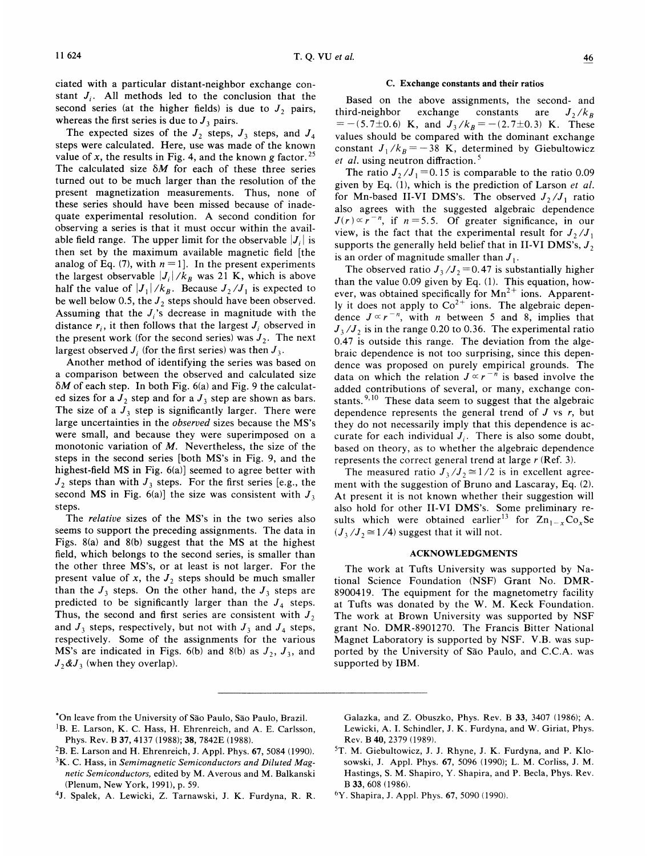ciated with a particular distant-neighbor exchange constant  $J_i$ . All methods led to the conclusion that the second series (at the higher fields) is due to  $J_2$  pairs, whereas the first series is due to  $J_3$  pairs.

The expected sizes of the  $J_2$  steps,  $J_3$  steps, and  $J_4$ steps were calculated. Here, use was made of the known value of x, the results in Fig. 4, and the known g factor.<sup>25</sup> The calculated size  $\delta M$  for each of these three series turned out to be much larger than the resolution of the present magnetization measurements. Thus, none of these series should have been missed because of inadequate experimental resolution. A second condition for observing a series is that it must occur within the available field range. The upper limit for the observable  $|J_i|$  is then set by the maximum available magnetic field [the analog of Eq. (7), with  $n = 1$ . In the present experiments the largest observable  $|J_i|/k_B$  was 21 K, which is above half the value of  $|J_1|/k_B$ . Because  $J_2/J_1$  is expected to be well below 0.5, the  $J_2$  steps should have been observed. Assuming that the  $J_i$ 's decrease in magnitude with the distance  $r_i$ , it then follows that the largest  $J_i$  observed in the present work (for the second series) was  $J_2$ . The next largest observed  $J_i$  (for the first series) was then  $J_3$ .

Another method of identifying the series was based on a comparison between the observed and calculated size  $\delta M$  of each step. In both Fig. 6(a) and Fig. 9 the calculated sizes for a  $J_2$  step and for a  $J_3$  step are shown as bars. The size of a  $J_3$  step is significantly larger. There were large uncertainties in the observed sizes because the MS's were small, and because they were superimposed on a monotonic variation of  $M$ . Nevertheless, the size of the steps in the second series [both MS's in Fig. 9, and the highest-field MS in Fig. 6(a)] seemed to agree better with  $J_2$  steps than with  $J_3$  steps. For the first series [e.g., the second MS in Fig. 6(a)] the size was consistent with  $J_3$ steps.

The relative sizes of the MS's in the two series also seems to support the preceding assignments. The data in Figs. 8(a) and 8(b) suggest that the MS at the highest field, which belongs to the second series, is smaller than the other three MS's, or at least is not larger. For the present value of x, the  $J_2$  steps should be much smaller than the  $J_3$  steps. On the other hand, the  $J_3$  steps are predicted to be significantly larger than the  $J_4$  steps. Thus, the second and first series are consistent with  $J_2$ and  $J_3$  steps, respectively, but not with  $J_3$  and  $J_4$  steps, respectively. Some of the assignments for the various MS's are indicated in Figs. 6(b) and 8(b) as  $J_2$ ,  $J_3$ , and  $J_2\mathcal{L}J_3$  (when they overlap).

### C. Exchange constants and their ratios

Based on the above assignments, the second- and third-neighbor exchange constants are  $J_2/k_B$  $= -(5.7\pm0.6)$  K, and  $J_3/k_B = -(2.7\pm0.3)$  K. These values should be compared with the dominant exchange constant  $J_1/k_B = -38$  K, determined by Giebultowicz et al. using neutron diffraction.<sup>5</sup>

The ratio  $J_2/J_1 = 0.15$  is comparable to the ratio 0.09 given by Eq. (1), which is the prediction of Larson et al. for Mn-based II-VI DMS's. The observed  $J_2/J_1$  ratio also agrees with the suggested algebraic dependence  $J(r) \propto r^{-n}$ , if  $n = 5.5$ . Of greater significance, in our view, is the fact that the experimental result for  $J_2/J_1$ supports the generally held belief that in II-VI DMS's,  $J_2$ is an order of magnitude smaller than  $J_1$ .

The observed ratio  $J_3/J_2 = 0.47$  is substantially higher than the value 0.09 given by Eq. (1). This equation, however, was obtained specifically for  $Mn^{2+}$  ions. Apparently it does not apply to  $Co^{2+}$  ions. The algebraic depending to the algebraic dependent dence  $J \propto r^{-n}$ , with *n* between 5 and 8, implies that  $J_3/J_2$  is in the range 0.20 to 0.36. The experimental ratio 0.47 is outside this range. The deviation from the algebraic dependence is not too surprising, since this dependence was proposed on purely empirical grounds. The data on which the relation  $J \propto r^{-n}$  is based involve the added contributions of several, or many, exchange con-'stants.<sup>9,10</sup> These data seem to suggest that the algebrai dependence represents the general trend of  $J$  vs  $r$ , but they do not necessarily imply that this dependence is accurate for each individual  $J_i$ . There is also some doubt, based on theory, as to whether the algebraic dependence represents the correct general trend at large  $r$  (Ref. 3).

The measured ratio  $J_3/J_2 \cong 1/2$  is in excellent agreement with the suggestion of Bruno and Lascaray, Eq. (2). At present it is not known whether their suggestion will also hold for other II-VI DMS's. Some preliminary results which were obtained earlier<sup>13</sup> for  $Zn_{1-x}Co_xSe$  $(J_1/J_2 \cong 1/4)$  suggest that it will not.

### ACKNOWLEDGMENTS

The work at Tufts University was supported by National Science Foundation (NSF) Grant No. DMR-8900419. The equipment for the magnetometry facility at Tufts was donated by the W. M. Keck Foundation. The work at Brown University was supported by NSF grant No. DMR-8901270. The Francis Bitter National Magnet Laboratory is supported by NSF. V.B. was supported by the University of São Paulo, and C.C.A. was supported by IBM.

- $2B.$  E. Larson and H. Ehrenreich, J. Appl. Phys. 67, 5084 (1990).
- ${}^{3}$ K. C. Hass, in Semimagnetic Semiconductors and Diluted Magnetic Semiconductors, edited by M. Averous and M. Balkanski (Plenum, New York, 1991), p. 59.
- 4J. Spalek, A. Lewicki, Z. Tarnawski, J. K. Furdyna, R. R.

Galazka, and Z. Obuszko, Phys. Rev. 8 33, 3407 (1986); A. Lewicki, A. I. Schindler, J. K. Furdyna, and W. Giriat, Phys. Rev. B40, 2379 (1989).

<sup>&#</sup>x27;On leave from the University of Sao Paulo, Sao Paulo, Brazil.

<sup>&</sup>lt;sup>1</sup>B. E. Larson, K. C. Hass, H. Ehrenreich, and A. E. Carlsson, Phys. Rev. B 37, 4137 (1988); 38, 7842E (1988).

<sup>&</sup>lt;sup>5</sup>T. M. Giebultowicz, J. J. Rhyne, J. K. Furdyna, and P. Klosowski, J. Appl. Phys. 67, 5096 (1990); L. M. Corliss, J. M. Hastings, S. M. Shapiro, Y. Shapira, and P. Becla, Phys. Rev. B 33, 608 (1986).

<sup>6</sup>Y. Shapira, J. Appl. Phys. 67, 5090 (1990).